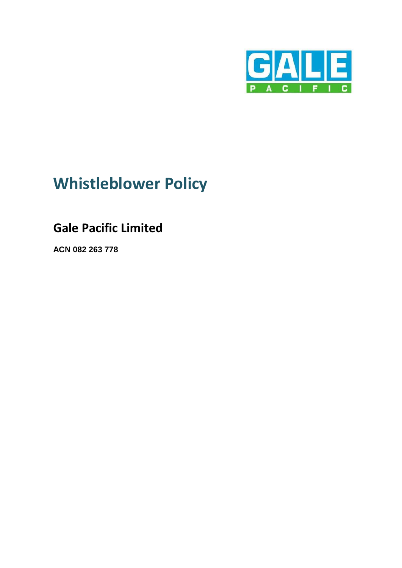

# **Whistleblower Policy**

# **Gale Pacific Limited**

**ACN 082 263 778**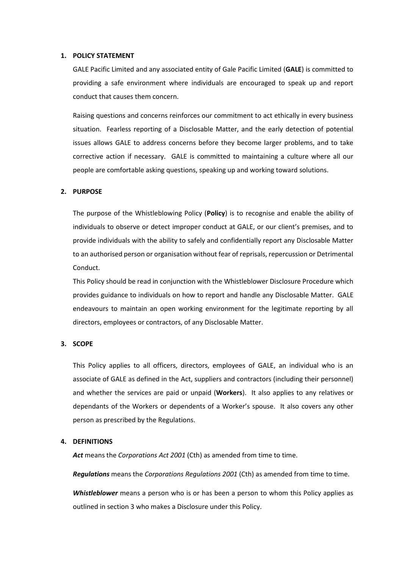#### **1. POLICY STATEMENT**

GALE Pacific Limited and any associated entity of Gale Pacific Limited (**GALE**) is committed to providing a safe environment where individuals are encouraged to speak up and report conduct that causes them concern.

Raising questions and concerns reinforces our commitment to act ethically in every business situation. Fearless reporting of a Disclosable Matter, and the early detection of potential issues allows GALE to address concerns before they become larger problems, and to take corrective action if necessary. GALE is committed to maintaining a culture where all our people are comfortable asking questions, speaking up and working toward solutions.

# **2. PURPOSE**

The purpose of the Whistleblowing Policy (**Policy**) is to recognise and enable the ability of individuals to observe or detect improper conduct at GALE, or our client's premises, and to provide individuals with the ability to safely and confidentially report any Disclosable Matter to an authorised person or organisation without fear of reprisals, repercussion or Detrimental Conduct.

This Policy should be read in conjunction with the Whistleblower Disclosure Procedure which provides guidance to individuals on how to report and handle any Disclosable Matter. GALE endeavours to maintain an open working environment for the legitimate reporting by all directors, employees or contractors, of any Disclosable Matter.

#### <span id="page-1-0"></span>**3. SCOPE**

This Policy applies to all officers, directors, employees of GALE, an individual who is an associate of GALE as defined in the Act, suppliers and contractors (including their personnel) and whether the services are paid or unpaid (**Workers**). It also applies to any relatives or dependants of the Workers or dependents of a Worker's spouse. It also covers any other person as prescribed by the Regulations.

#### **4. DEFINITIONS**

Act means the *Corporations Act 2001* (Cth) as amended from time to time.

*Regulations* means the *Corporations Regulations 2001* (Cth) as amended from time to time.

*Whistleblower* means a person who is or has been a person to whom this Policy applies as outlined in section [3](#page-1-0) who makes a Disclosure under this Policy.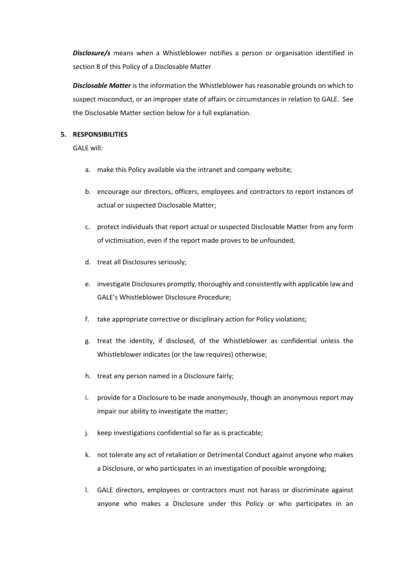*Disclosure/s* means when a Whistleblower notifies a person or organisation identified in sectio[n 8](#page-4-0) of this Policy of a Disclosable Matter

*Disclosable Matter* is the information the Whistleblower has reasonable grounds on which to suspect misconduct, or an improper state of affairs or circumstances in relation to GALE. See the Disclosable Matter section below for a full explanation.

#### **5. RESPONSIBILITIES**

GALE will:

- a. make this Policy available via the intranet and company website;
- b. encourage our directors, officers, employees and contractors to report instances of actual or suspected Disclosable Matter;
- c. protect individuals that report actual or suspected Disclosable Matter from any form of victimisation, even if the report made proves to be unfounded;
- d. treat all Disclosures seriously;
- e. investigate Disclosures promptly, thoroughly and consistently with applicable law and GALE's Whistleblower Disclosure Procedure;
- f. take appropriate corrective or disciplinary action for Policy violations;
- g. treat the identity, if disclosed, of the Whistleblower as confidential unless the Whistleblower indicates (or the law requires) otherwise;
- h. treat any person named in a Disclosure fairly;
- i. provide for a Disclosure to be made anonymously, though an anonymous report may impair our ability to investigate the matter;
- j. keep investigations confidential so far as is practicable;
- k. not tolerate any act of retaliation or Detrimental Conduct against anyone who makes a Disclosure, or who participates in an investigation of possible wrongdoing;
- l. GALE directors, employees or contractors must not harass or discriminate against anyone who makes a Disclosure under this Policy or who participates in an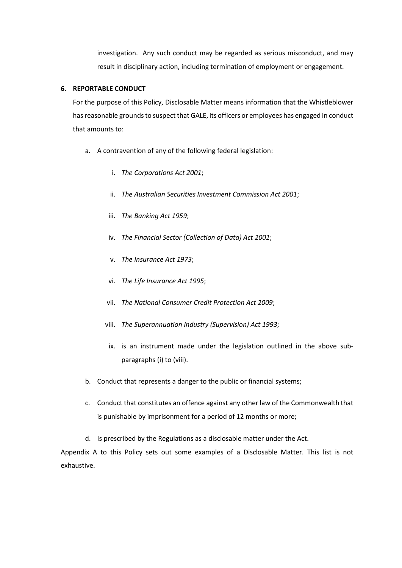investigation. Any such conduct may be regarded as serious misconduct, and may result in disciplinary action, including termination of employment or engagement.

#### **6. REPORTABLE CONDUCT**

For the purpose of this Policy, Disclosable Matter means information that the Whistleblower has reasonable grounds to suspect that GALE, its officers or employees has engaged in conduct that amounts to:

- a. A contravention of any of the following federal legislation:
	- i. *The Corporations Act 2001*;
	- ii. *The Australian Securities Investment Commission Act 2001*;
	- iii. *The Banking Act 1959*;
	- iv. *The Financial Sector (Collection of Data) Act 2001*;
	- v. *The Insurance Act 1973*;
	- vi. *The Life Insurance Act 1995*;
	- vii. *The National Consumer Credit Protection Act 2009*;
	- viii. *The Superannuation Industry (Supervision) Act 1993*;
	- ix. is an instrument made under the legislation outlined in the above subparagraphs (i) to (viii).
- b. Conduct that represents a danger to the public or financial systems;
- c. Conduct that constitutes an offence against any other law of the Commonwealth that is punishable by imprisonment for a period of 12 months or more;
- d. Is prescribed by the Regulations as a disclosable matter under the Act.

Appendix A to this Policy sets out some examples of a Disclosable Matter. This list is not exhaustive.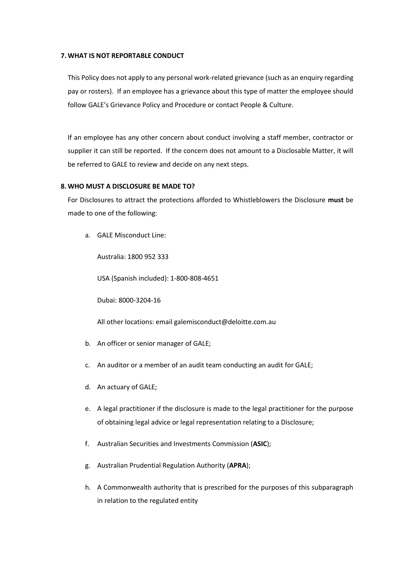# **7. WHAT IS NOT REPORTABLE CONDUCT**

This Policy does not apply to any personal work-related grievance (such as an enquiry regarding pay or rosters). If an employee has a grievance about this type of matter the employee should follow GALE's Grievance Policy and Procedure or contact People & Culture.

If an employee has any other concern about conduct involving a staff member, contractor or supplier it can still be reported. If the concern does not amount to a Disclosable Matter, it will be referred to GALE to review and decide on any next steps.

# <span id="page-4-0"></span>**8. WHO MUST A DISCLOSURE BE MADE TO?**

For Disclosures to attract the protections afforded to Whistleblowers the Disclosure **must** be made to one of the following:

a. GALE Misconduct Line:

Australia: 1800 952 333

USA (Spanish included): 1-800-808-4651

Dubai: 8000-3204-16

All other locations: email galemisconduct@deloitte.com.au

- b. An officer or senior manager of GALE;
- c. An auditor or a member of an audit team conducting an audit for GALE;
- d. An actuary of GALE;
- e. A legal practitioner if the disclosure is made to the legal practitioner for the purpose of obtaining legal advice or legal representation relating to a Disclosure;
- f. Australian Securities and Investments Commission (**ASIC**);
- g. Australian Prudential Regulation Authority (**APRA**);
- h. A Commonwealth authority that is prescribed for the purposes of this subparagraph in relation to the regulated entity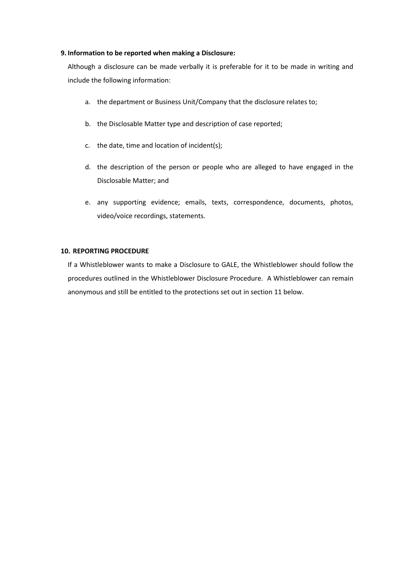#### **9. Information to be reported when making a Disclosure:**

Although a disclosure can be made verbally it is preferable for it to be made in writing and include the following information:

- a. the department or Business Unit/Company that the disclosure relates to;
- b. the Disclosable Matter type and description of case reported;
- c. the date, time and location of incident(s);
- d. the description of the person or people who are alleged to have engaged in the Disclosable Matter; and
- e. any supporting evidence; emails, texts, correspondence, documents, photos, video/voice recordings, statements.

#### **10. REPORTING PROCEDURE**

If a Whistleblower wants to make a Disclosure to GALE, the Whistleblower should follow the procedures outlined in the Whistleblower Disclosure Procedure. A Whistleblower can remain anonymous and still be entitled to the protections set out in section [11](#page-6-0) below.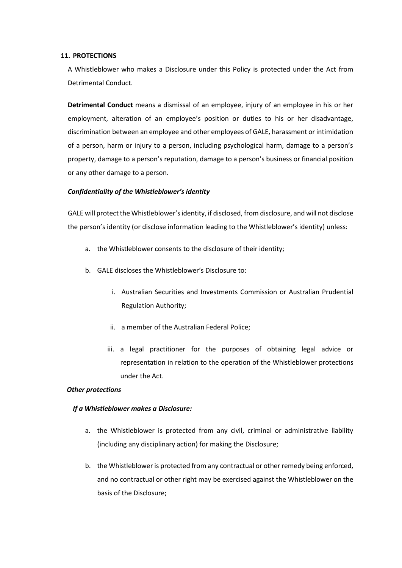#### <span id="page-6-0"></span>**11. PROTECTIONS**

A Whistleblower who makes a Disclosure under this Policy is protected under the Act from Detrimental Conduct.

**Detrimental Conduct** means a dismissal of an employee, injury of an employee in his or her employment, alteration of an employee's position or duties to his or her disadvantage, discrimination between an employee and other employees of GALE, harassment or intimidation of a person, harm or injury to a person, including psychological harm, damage to a person's property, damage to a person's reputation, damage to a person's business or financial position or any other damage to a person.

# *Confidentiality of the Whistleblower's identity*

GALE will protect the Whistleblower's identity, if disclosed, from disclosure, and will not disclose the person's identity (or disclose information leading to the Whistleblower's identity) unless:

- a. the Whistleblower consents to the disclosure of their identity;
- b. GALE discloses the Whistleblower's Disclosure to:
	- i. Australian Securities and Investments Commission or Australian Prudential Regulation Authority;
	- ii. a member of the Australian Federal Police;
	- iii. a legal practitioner for the purposes of obtaining legal advice or representation in relation to the operation of the Whistleblower protections under the Act.

#### *Other protections*

# *If a Whistleblower makes a Disclosure:*

- a. the Whistleblower is protected from any civil, criminal or administrative liability (including any disciplinary action) for making the Disclosure;
- b. the Whistleblower is protected from any contractual or other remedy being enforced, and no contractual or other right may be exercised against the Whistleblower on the basis of the Disclosure;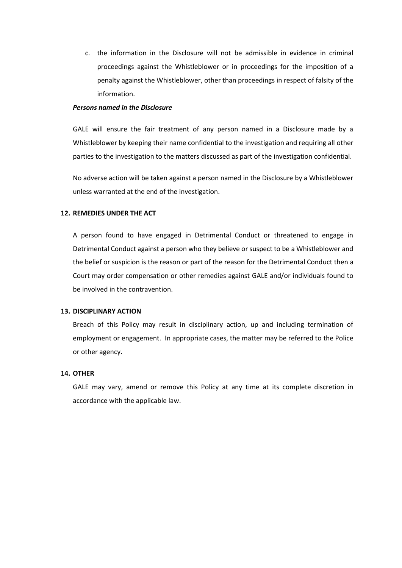c. the information in the Disclosure will not be admissible in evidence in criminal proceedings against the Whistleblower or in proceedings for the imposition of a penalty against the Whistleblower, other than proceedings in respect of falsity of the information.

#### *Persons named in the Disclosure*

GALE will ensure the fair treatment of any person named in a Disclosure made by a Whistleblower by keeping their name confidential to the investigation and requiring all other parties to the investigation to the matters discussed as part of the investigation confidential.

No adverse action will be taken against a person named in the Disclosure by a Whistleblower unless warranted at the end of the investigation.

#### **12. REMEDIES UNDER THE ACT**

A person found to have engaged in Detrimental Conduct or threatened to engage in Detrimental Conduct against a person who they believe or suspect to be a Whistleblower and the belief or suspicion is the reason or part of the reason for the Detrimental Conduct then a Court may order compensation or other remedies against GALE and/or individuals found to be involved in the contravention.

#### **13. DISCIPLINARY ACTION**

Breach of this Policy may result in disciplinary action, up and including termination of employment or engagement. In appropriate cases, the matter may be referred to the Police or other agency.

#### **14. OTHER**

GALE may vary, amend or remove this Policy at any time at its complete discretion in accordance with the applicable law.